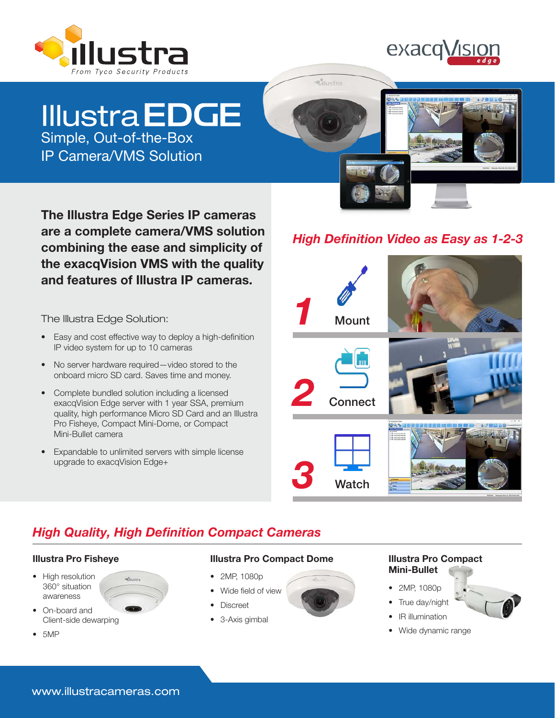



# Simple, Out-of-the-Box **Illustra EDGE**

IP Camera/VMS Solution



The Illustra Edge Series IP cameras are a complete camera/VMS solution combining the ease and simplicity of the exacqVision VMS with the quality and features of Illustra IP cameras.

The Illustra Edge Solution:

- Easy and cost effective way to deploy a high-definition IP video system for up to 10 cameras
- No server hardware required—video stored to the onboard micro SD card. Saves time and money.
- Complete bundled solution including a licensed exacqVision Edge server with 1 year SSA, premium quality, high performance Micro SD Card and an Illustra Pro Fisheye, Compact Mini-Dome, or Compact Mini-Bullet camera
- Expandable to unlimited servers with simple license upgrade to exacqVision Edge+

-cliustra

# *High Definition Video as Easy as 1-2-3*



# *High Quality, High Definition Compact Cameras*

### Illustra Pro Fisheye

- High resolution 360° situation awareness
- On-board and Client-side dewarping
- 5MP



- 2MP, 1080p
- Wide field of view
- Discreet
- 3-Axis gimbal

### Illustra Pro Compact Mini-Bullet

- 2MP, 1080p
- True day/night
- IR illumination
- Wide dynamic range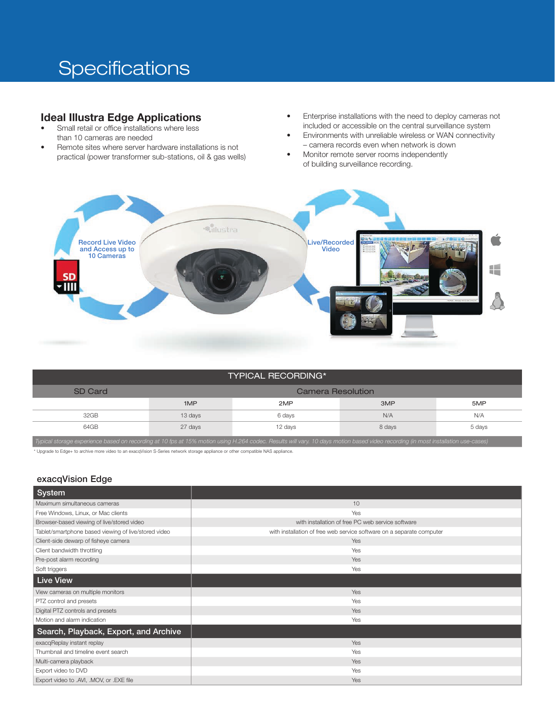# **Specifications**

## Ideal Illustra Edge Applications

- Small retail or office installations where less than 10 cameras are needed
- Remote sites where server hardware installations is not practical (power transformer sub-stations, oil & gas wells)
- Enterprise installations with the need to deploy cameras not included or accessible on the central surveillance system
- Environments with unreliable wireless or WAN connectivity – camera records even when network is down
- Monitor remote server rooms independently of building surveillance recording.



|--|

| SD Card                                                                                                                                                                           | Camera Resolution |         |        |        |  |  |  |
|-----------------------------------------------------------------------------------------------------------------------------------------------------------------------------------|-------------------|---------|--------|--------|--|--|--|
|                                                                                                                                                                                   | 1MP               | 2MP     | 3MP    | 5MP    |  |  |  |
| 32GB                                                                                                                                                                              | 13 days           | 6 days  | N/A    | N/A    |  |  |  |
| 64GB                                                                                                                                                                              | 27 days           | 12 days | 8 days | 5 days |  |  |  |
| Typical storage experience based on recording at 10 fps at 15% motion using H.264 codec. Results will vary. 10 days motion based video recording (in most installation use-cases) |                   |         |        |        |  |  |  |

\* Upgrade to Edge+ to archive more video to an exacqVision S-Series network storage appliance or other compatible NAS appliance.

#### exacqVision Edge

| System                                               |                                                                       |
|------------------------------------------------------|-----------------------------------------------------------------------|
| Maximum simultaneous cameras                         | 10                                                                    |
| Free Windows, Linux, or Mac clients                  | Yes                                                                   |
| Browser-based viewing of live/stored video           | with installation of free PC web service software                     |
| Tablet/smartphone based viewing of live/stored video | with installation of free web service software on a separate computer |
| Client-side dewarp of fisheye camera                 | Yes                                                                   |
| Client bandwidth throttling                          | Yes                                                                   |
| Pre-post alarm recording                             | Yes                                                                   |
| Soft triggers                                        | Yes                                                                   |
| <b>Live View</b>                                     |                                                                       |
| View cameras on multiple monitors                    | Yes                                                                   |
| PTZ control and presets                              | Yes                                                                   |
| Digital PTZ controls and presets                     | Yes                                                                   |
| Motion and alarm indication                          | Yes                                                                   |
| Search, Playback, Export, and Archive                |                                                                       |
| exacqReplay instant replay                           | Yes                                                                   |
| Thumbnail and timeline event search                  | Yes                                                                   |
| Multi-camera playback                                | Yes                                                                   |
| Export video to DVD                                  | Yes                                                                   |
| Export video to .AVI, .MOV, or .EXE file             | Yes                                                                   |